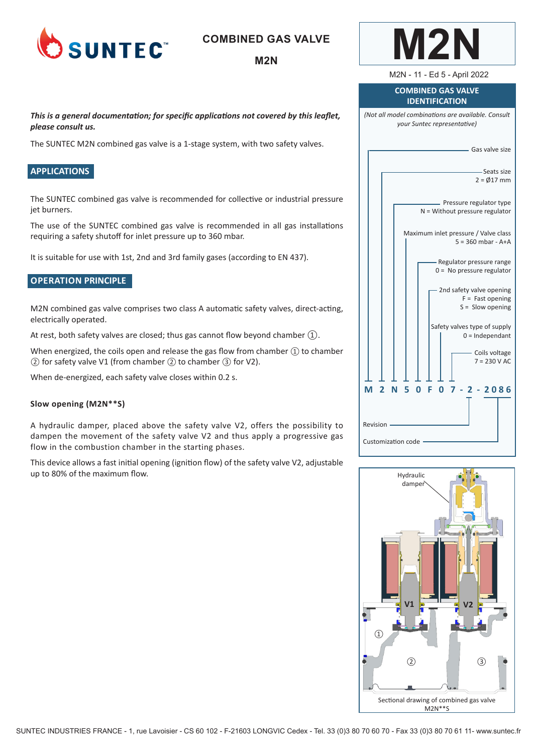

# **COMBINED GAS VALVE**

## **M2N**

*This is a general documentation; for specific applications not covered by this leaflet, please consult us.* 

The SUNTEC M2N combined gas valve is a 1-stage system, with two safety valves.

## **APPLICATIONS**

The SUNTEC combined gas valve is recommended for collective or industrial pressure jet burners.

The use of the SUNTEC combined gas valve is recommended in all gas installations requiring a safety shutoff for inlet pressure up to 360 mbar.

It is suitable for use with 1st, 2nd and 3rd family gases (according to EN 437).

## **OPERATION PRINCIPLE**

M2N combined gas valve comprises two class A automatic safety valves, direct-acting, electrically operated.

At rest, both safety valves are closed; thus gas cannot flow beyond chamber  $(1)$ .

When energized, the coils open and release the gas flow from chamber  $(1)$  to chamber ② for safety valve V1 (from chamber ② to chamber ③ for V2).

When de-energized, each safety valve closes within 0.2 s.

#### **Slow opening (M2N\*\*S)**

A hydraulic damper, placed above the safety valve V2, offers the possibility to dampen the movement of the safety valve V2 and thus apply a progressive gas flow in the combustion chamber in the starting phases.

This device allows a fast initial opening (ignition flow) of the safety valve V2, adjustable up to 80% of the maximum flow.

| <b>COMBINED GAS VALVE</b><br><b>IDENTIFICATION</b>                                                          |  |  |
|-------------------------------------------------------------------------------------------------------------|--|--|
| (Not all model combinations are available. Consult<br>your Suntec representative)                           |  |  |
| - Gas valve size                                                                                            |  |  |
| -Seats size<br>$2 = \emptyset$ 17 mm                                                                        |  |  |
| Pressure regulator type<br>$N =$ Without pressure regulator                                                 |  |  |
| Maximum inlet pressure / Valve class<br>$5 = 360$ mbar - A+A                                                |  |  |
| - Regulator pressure range<br>$0 = No pressure regulator$                                                   |  |  |
| 2nd safety valve opening<br>$F =$ Fast opening<br>$S =$ Slow opening                                        |  |  |
| Safety valves type of supply<br>$0 =$ Independant                                                           |  |  |
| - Coils voltage<br>$7 = 230 V AC$                                                                           |  |  |
| - 5<br>$-2086$<br>М<br>$\overline{\mathbf{2}}$<br>- 0<br>F<br>N<br>Ω<br>- 7 -<br>$\mathbf{Z}^-$<br>Revision |  |  |
| <b>Customization code</b>                                                                                   |  |  |

**M2N**

M2N - 11 - Ed 5 - April 2022